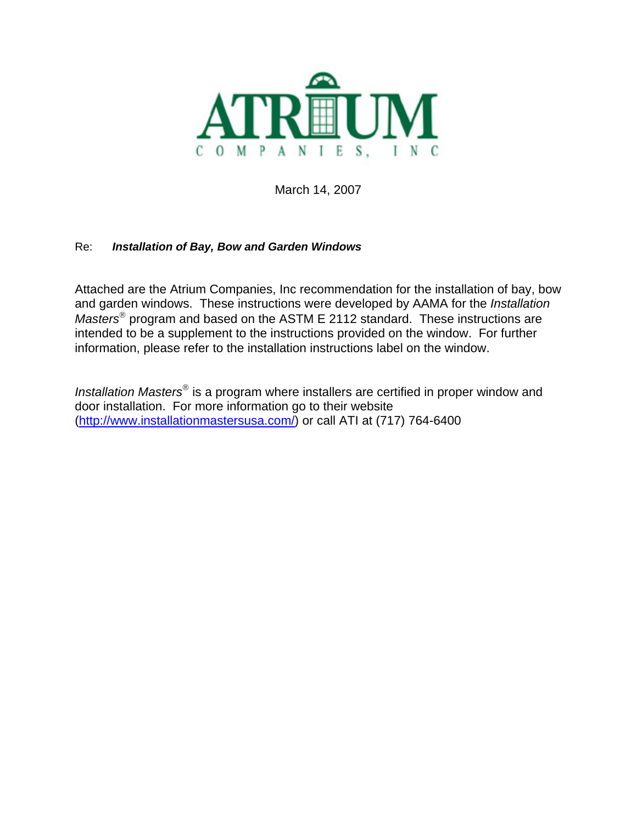

March 14, 2007

#### Re: *Installation of Bay, Bow and Garden Windows*

Attached are the Atrium Companies, Inc recommendation for the installation of bay, bow and garden windows. These instructions were developed by AAMA for the *Installation Masters*® program and based on the ASTM E 2112 standard. These instructions are intended to be a supplement to the instructions provided on the window. For further information, please refer to the installation instructions label on the window.

*Installation Masters*® is a program where installers are certified in proper window and door installation. For more information go to their website (<http://www.installationmastersusa.com/>) or call ATI at (717) 764-6400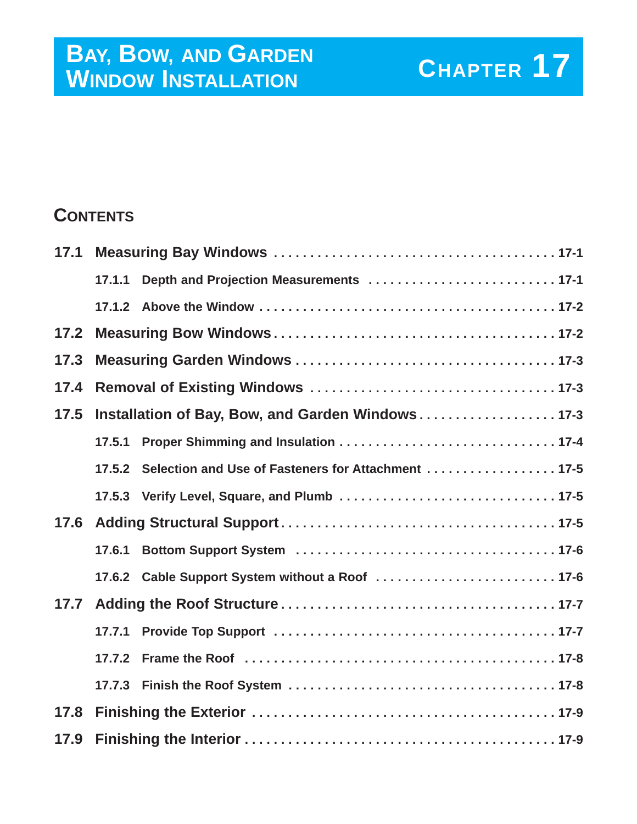# **CHAPTER 17**<br> **CHAPTER** 17 **WINDOW INSTALLATION**

### **CONTENTS**

| 17.1 |                                                   |                                                     |
|------|---------------------------------------------------|-----------------------------------------------------|
|      | 17.1.1                                            |                                                     |
|      |                                                   |                                                     |
| 17.2 |                                                   |                                                     |
| 17.3 |                                                   |                                                     |
| 17.4 |                                                   |                                                     |
| 17.5 | Installation of Bay, Bow, and Garden Windows 17-3 |                                                     |
|      | 17.5.1                                            |                                                     |
|      | 17.5.2                                            | Selection and Use of Fasteners for Attachment  17-5 |
|      |                                                   | 17.5.3 Verify Level, Square, and Plumb  17-5        |
| 17.6 |                                                   |                                                     |
|      | 17.6.1                                            |                                                     |
|      |                                                   |                                                     |
| 17.7 |                                                   |                                                     |
|      | 17.7.1                                            |                                                     |
|      | 17.7.2                                            |                                                     |
|      |                                                   |                                                     |
| 17.8 |                                                   |                                                     |
| 17.9 |                                                   |                                                     |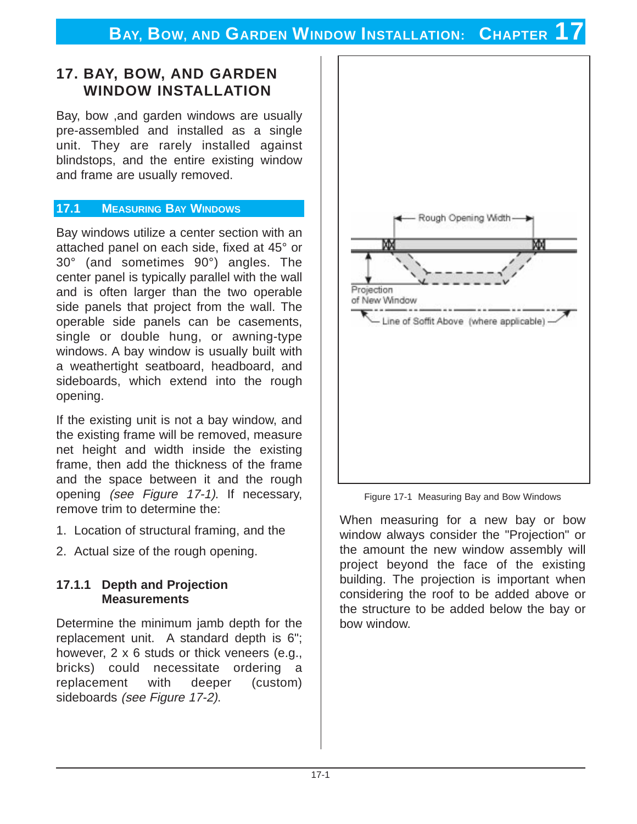### **17. BAY, BOW, AND GARDEN WINDOW INSTALLATION**

Bay, bow ,and garden windows are usually pre-assembled and installed as a single unit. They are rarely installed against blindstops, and the entire existing window and frame are usually removed.

#### **17.1 MEASURING BAY WINDOWS**

Bay windows utilize a center section with an attached panel on each side, fixed at 45° or 30° (and sometimes 90°) angles. The center panel is typically parallel with the wall and is often larger than the two operable side panels that project from the wall. The operable side panels can be casements, single or double hung, or awning-type windows. A bay window is usually built with a weathertight seatboard, headboard, and sideboards, which extend into the rough opening.

If the existing unit is not a bay window, and the existing frame will be removed, measure net height and width inside the existing frame, then add the thickness of the frame and the space between it and the rough opening (see Figure 17-1). If necessary, remove trim to determine the:

- 1. Location of structural framing, and the
- 2. Actual size of the rough opening.

#### **17.1.1 Depth and Projection Measurements**

Determine the minimum jamb depth for the replacement unit. A standard depth is 6"; however, 2 x 6 studs or thick veneers (e.g., bricks) could necessitate ordering a replacement with deeper (custom) sideboards (see Figure 17-2).



Figure 17-1 Measuring Bay and Bow Windows

When measuring for a new bay or bow window always consider the "Projection" or the amount the new window assembly will project beyond the face of the existing building. The projection is important when considering the roof to be added above or the structure to be added below the bay or bow window.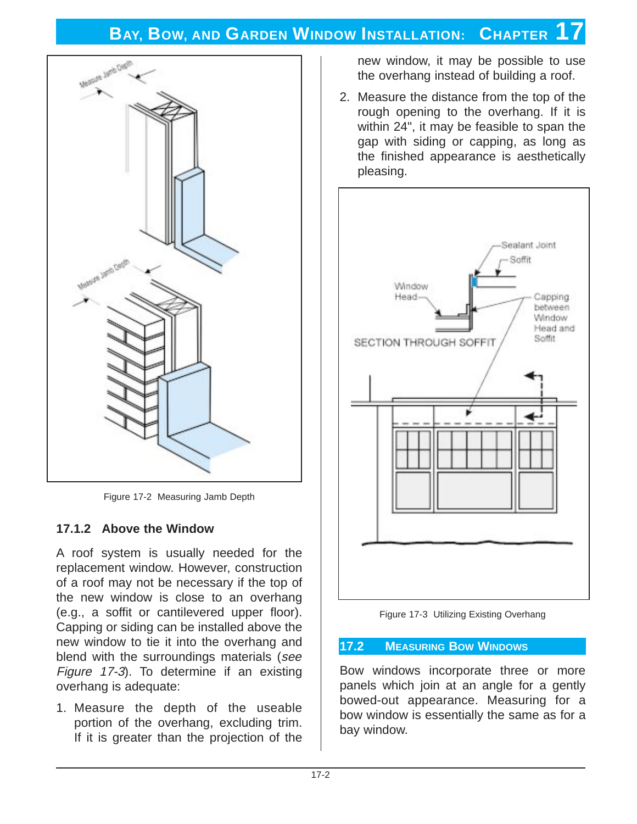

Figure 17-2 Measuring Jamb Depth

#### **17.1.2 Above the Window**

A roof system is usually needed for the replacement window. However, construction of a roof may not be necessary if the top of the new window is close to an overhang (e.g., a soffit or cantilevered upper floor). Capping or siding can be installed above the new window to tie it into the overhang and blend with the surroundings materials (see Figure 17-3). To determine if an existing overhang is adequate:

1. Measure the depth of the useable portion of the overhang, excluding trim. If it is greater than the projection of the

new window, it may be possible to use the overhang instead of building a roof.

2. Measure the distance from the top of the rough opening to the overhang. If it is within 24", it may be feasible to span the gap with siding or capping, as long as the finished appearance is aesthetically pleasing.



Figure 17-3 Utilizing Existing Overhang

#### **17.2 MEASURING BOW WINDOWS**

Bow windows incorporate three or more panels which join at an angle for a gently bowed-out appearance. Measuring for a bow window is essentially the same as for a bay window.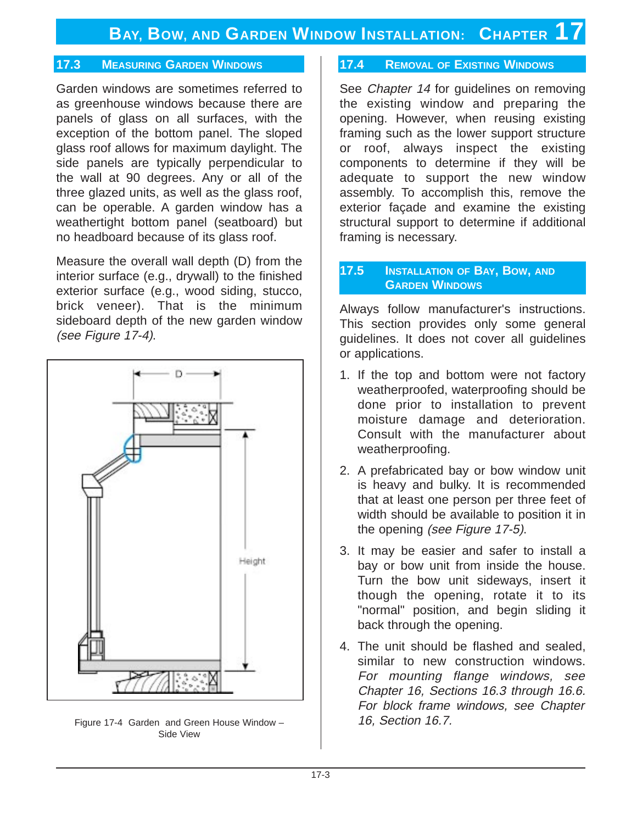#### **17.3 MEASURING GARDEN WINDOWS**

Garden windows are sometimes referred to as greenhouse windows because there are panels of glass on all surfaces, with the exception of the bottom panel. The sloped glass roof allows for maximum daylight. The side panels are typically perpendicular to the wall at 90 degrees. Any or all of the three glazed units, as well as the glass roof, can be operable. A garden window has a weathertight bottom panel (seatboard) but no headboard because of its glass roof.

Measure the overall wall depth (D) from the interior surface (e.g., drywall) to the finished exterior surface (e.g., wood siding, stucco, brick veneer). That is the minimum sideboard depth of the new garden window (see Figure 17-4).



Figure 17-4 Garden and Green House Window – Side View

#### **17.4 REMOVAL OF EXISTING WINDOWS**

See *Chapter 14* for guidelines on removing the existing window and preparing the opening. However, when reusing existing framing such as the lower support structure or roof, always inspect the existing components to determine if they will be adequate to support the new window assembly. To accomplish this, remove the exterior façade and examine the existing structural support to determine if additional framing is necessary.

#### **17.5 INSTALLATION OF BAY, BOW, AND GARDEN WINDOWS**

Always follow manufacturer's instructions. This section provides only some general guidelines. It does not cover all guidelines or applications.

- 1. If the top and bottom were not factory weatherproofed, waterproofing should be done prior to installation to prevent moisture damage and deterioration. Consult with the manufacturer about weatherproofing.
- 2. A prefabricated bay or bow window unit is heavy and bulky. It is recommended that at least one person per three feet of width should be available to position it in the opening (see Figure 17-5).
- 3. It may be easier and safer to install a bay or bow unit from inside the house. Turn the bow unit sideways, insert it though the opening, rotate it to its "normal" position, and begin sliding it back through the opening.
- 4. The unit should be flashed and sealed, similar to new construction windows. For mounting flange windows, see Chapter 16, Sections 16.3 through 16.6. For block frame windows, see Chapter 16, Section 16.7.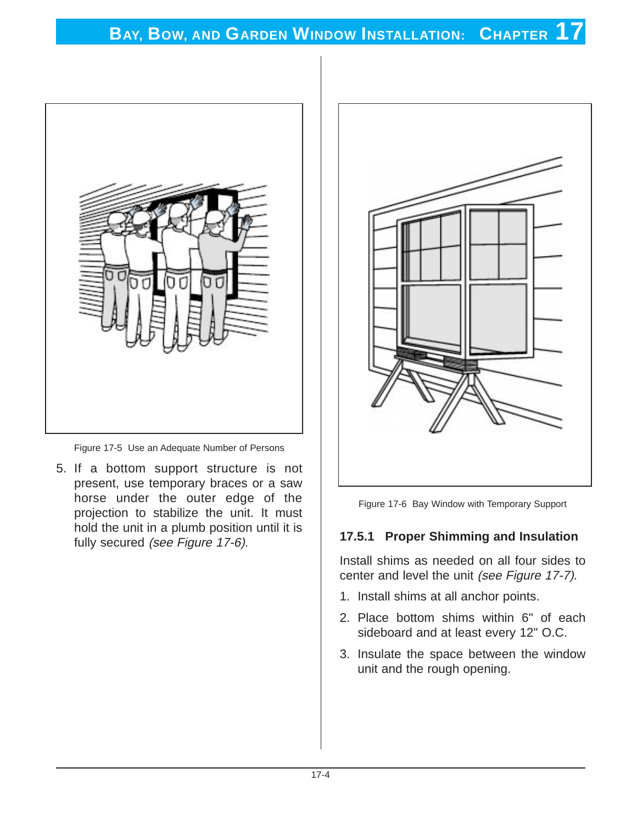

Figure 17-5 Use an Adequate Number of Persons

5. If a bottom support structure is not present, use temporary braces or a saw horse under the outer edge of the projection to stabilize the unit. It must hold the unit in a plumb position until it is fully secured (see Figure 17-6).



Figure 17-6 Bay Window with Temporary Support

#### **17.5.1 Proper Shimming and Insulation**

Install shims as needed on all four sides to center and level the unit (see Figure 17-7).

- 1. Install shims at all anchor points.
- 2. Place bottom shims within 6" of each sideboard and at least every 12" O.C.
- 3. Insulate the space between the window unit and the rough opening.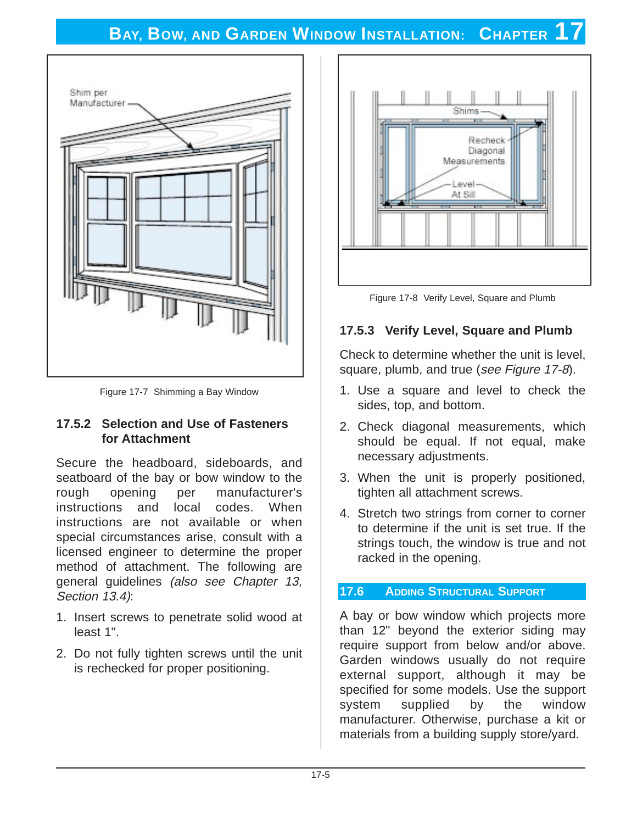

Figure 17-7 Shimming a Bay Window

#### **17.5.2 Selection and Use of Fasteners for Attachment**

Secure the headboard, sideboards, and seatboard of the bay or bow window to the rough opening per manufacturer's instructions and local codes. When instructions are not available or when special circumstances arise, consult with a licensed engineer to determine the proper method of attachment. The following are general guidelines (also see Chapter 13, Section 13.4):

- 1. Insert screws to penetrate solid wood at least 1".
- 2. Do not fully tighten screws until the unit is rechecked for proper positioning.



Figure 17-8 Verify Level, Square and Plumb

#### **17.5.3 Verify Level, Square and Plumb**

Check to determine whether the unit is level, square, plumb, and true (see Figure 17-8).

- 1. Use a square and level to check the sides, top, and bottom.
- 2. Check diagonal measurements, which should be equal. If not equal, make necessary adjustments.
- 3. When the unit is properly positioned, tighten all attachment screws.
- 4. Stretch two strings from corner to corner to determine if the unit is set true. If the strings touch, the window is true and not racked in the opening.

#### **17.6 ADDING STRUCTURAL SUPPORT**

A bay or bow window which projects more than 12" beyond the exterior siding may require support from below and/or above. Garden windows usually do not require external support, although it may be specified for some models. Use the support system supplied by the window manufacturer. Otherwise, purchase a kit or materials from a building supply store/yard.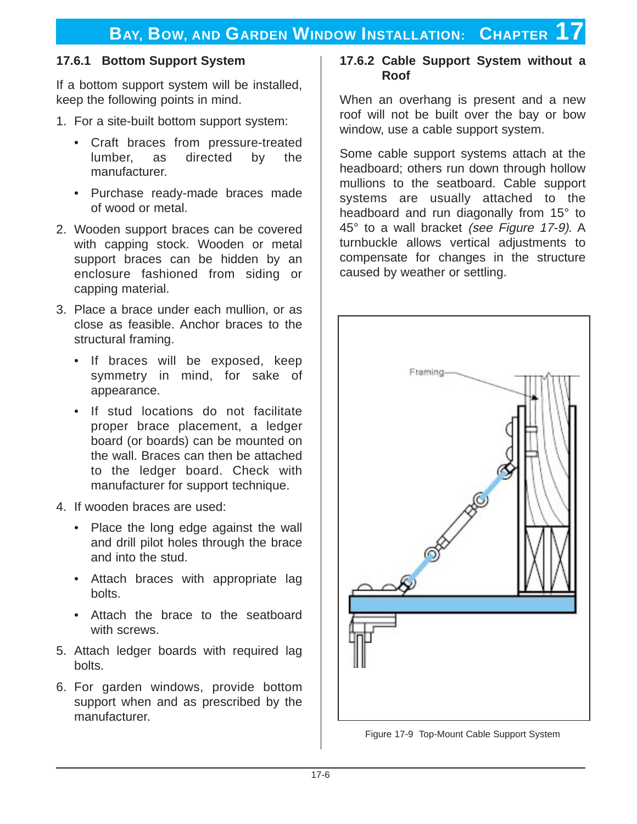#### **17.6.1 Bottom Support System**

If a bottom support system will be installed, keep the following points in mind.

- 1. For a site-built bottom support system:
	- Craft braces from pressure-treated lumber, as directed by the manufacturer.
	- Purchase ready-made braces made of wood or metal.
- 2. Wooden support braces can be covered with capping stock. Wooden or metal support braces can be hidden by an enclosure fashioned from siding or capping material.
- 3. Place a brace under each mullion, or as close as feasible. Anchor braces to the structural framing.
	- If braces will be exposed, keep symmetry in mind, for sake of appearance.
	- If stud locations do not facilitate proper brace placement, a ledger board (or boards) can be mounted on the wall. Braces can then be attached to the ledger board. Check with manufacturer for support technique.
- 4. If wooden braces are used:
	- Place the long edge against the wall and drill pilot holes through the brace and into the stud.
	- Attach braces with appropriate lag bolts.
	- Attach the brace to the seatboard with screws.
- 5. Attach ledger boards with required lag bolts.
- 6. For garden windows, provide bottom support when and as prescribed by the manufacturer.

#### **17.6.2 Cable Support System without a Roof**

When an overhang is present and a new roof will not be built over the bay or bow window, use a cable support system.

Some cable support systems attach at the headboard; others run down through hollow mullions to the seatboard. Cable support systems are usually attached to the headboard and run diagonally from 15° to 45° to a wall bracket (see Figure 17-9). A turnbuckle allows vertical adjustments to compensate for changes in the structure caused by weather or settling.



Figure 17-9 Top-Mount Cable Support System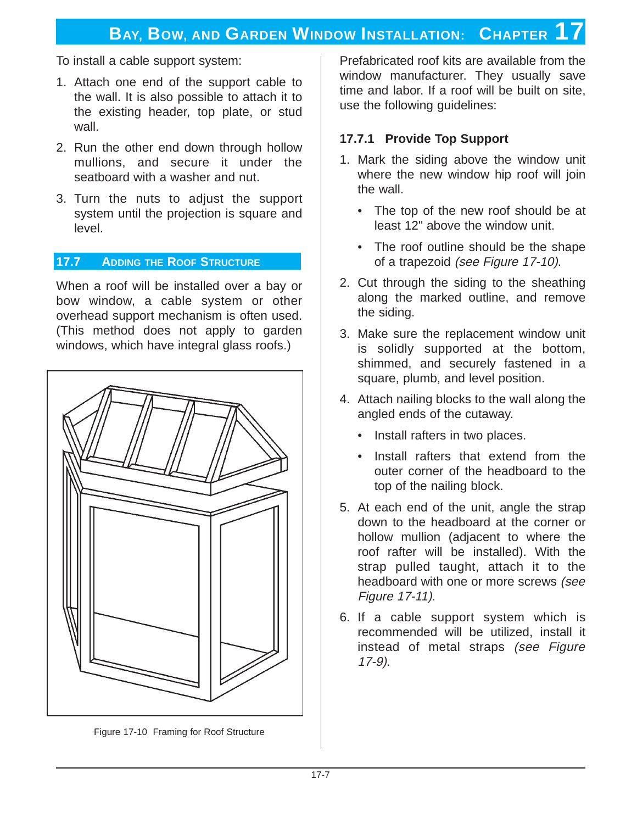To install a cable support system:

- 1. Attach one end of the support cable to the wall. It is also possible to attach it to the existing header, top plate, or stud wall.
- 2. Run the other end down through hollow mullions, and secure it under the seatboard with a washer and nut.
- 3. Turn the nuts to adjust the support system until the projection is square and level.

#### **17.7 ADDING THE ROOF STRUCTURE**

When a roof will be installed over a bay or bow window, a cable system or other overhead support mechanism is often used. (This method does not apply to garden windows, which have integral glass roofs.)



Figure 17-10 Framing for Roof Structure

Prefabricated roof kits are available from the window manufacturer. They usually save time and labor. If a roof will be built on site, use the following guidelines:

#### **17.7.1 Provide Top Support**

- 1. Mark the siding above the window unit where the new window hip roof will join the wall.
	- The top of the new roof should be at least 12" above the window unit.
	- The roof outline should be the shape of a trapezoid (see Figure 17-10).
- 2. Cut through the siding to the sheathing along the marked outline, and remove the siding.
- 3. Make sure the replacement window unit is solidly supported at the bottom, shimmed, and securely fastened in a square, plumb, and level position.
- 4. Attach nailing blocks to the wall along the angled ends of the cutaway.
	- Install rafters in two places.
	- Install rafters that extend from the outer corner of the headboard to the top of the nailing block.
- 5. At each end of the unit, angle the strap down to the headboard at the corner or hollow mullion (adjacent to where the roof rafter will be installed). With the strap pulled taught, attach it to the headboard with one or more screws (see Figure 17-11).
- 6. If a cable support system which is recommended will be utilized, install it instead of metal straps (see Figure 17-9).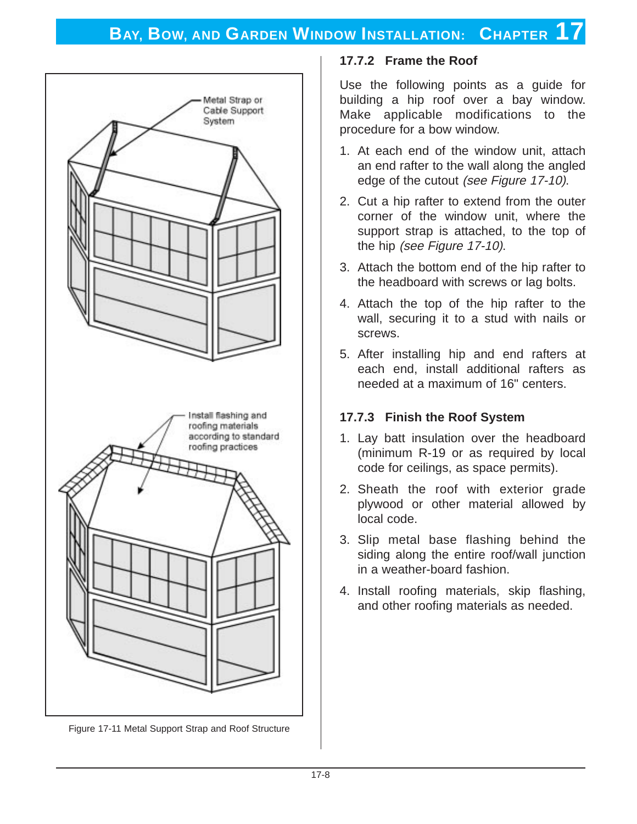

Figure 17-11 Metal Support Strap and Roof Structure

#### **17.7.2 Frame the Roof**

Use the following points as a guide for building a hip roof over a bay window. Make applicable modifications to the procedure for a bow window.

- 1. At each end of the window unit, attach an end rafter to the wall along the angled edge of the cutout (see Figure 17-10).
- 2. Cut a hip rafter to extend from the outer corner of the window unit, where the support strap is attached, to the top of the hip (see Figure 17-10).
- 3. Attach the bottom end of the hip rafter to the headboard with screws or lag bolts.
- 4. Attach the top of the hip rafter to the wall, securing it to a stud with nails or screws.
- 5. After installing hip and end rafters at each end, install additional rafters as needed at a maximum of 16" centers.

#### **17.7.3 Finish the Roof System**

- 1. Lay batt insulation over the headboard (minimum R-19 or as required by local code for ceilings, as space permits).
- 2. Sheath the roof with exterior grade plywood or other material allowed by local code.
- 3. Slip metal base flashing behind the siding along the entire roof/wall junction in a weather-board fashion.
- 4. Install roofing materials, skip flashing, and other roofing materials as needed.